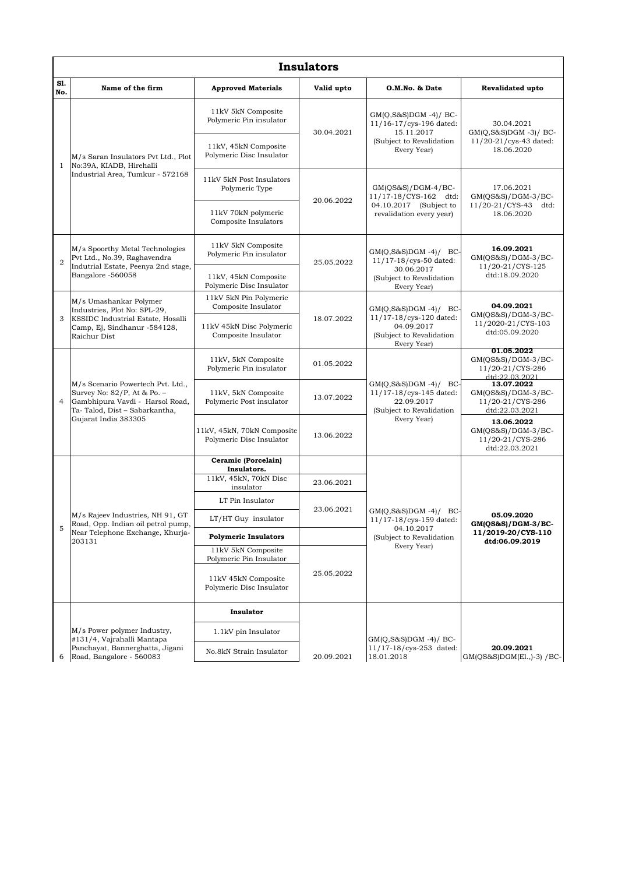| <b>Insulators</b> |                                                                                                                                                              |                                                                        |            |                                                                                                                  |                                                                               |  |  |  |  |
|-------------------|--------------------------------------------------------------------------------------------------------------------------------------------------------------|------------------------------------------------------------------------|------------|------------------------------------------------------------------------------------------------------------------|-------------------------------------------------------------------------------|--|--|--|--|
| S1.<br>No.        | Name of the firm                                                                                                                                             | <b>Approved Materials</b>                                              | Valid upto | O.M.No. & Date                                                                                                   | Revalidated upto                                                              |  |  |  |  |
| $\mathbf{1}$      | M/s Saran Insulators Pvt Ltd., Plot<br>No:39A, KIADB, Hirehalli<br>Industrial Area, Tumkur - 572168                                                          | 11kV 5kN Composite<br>Polymeric Pin insulator<br>11kV, 45kN Composite  | 30.04.2021 | $GM(Q,S\&S)DGM -4)/BC$<br>11/16-17/cys-196 dated:<br>15.11.2017<br>(Subject to Revalidation<br>Every Year)       | 30.04.2021<br>$GM(Q, S\&S)DGM -3)/BC$<br>11/20-21/cys-43 dated:<br>18.06.2020 |  |  |  |  |
|                   |                                                                                                                                                              | Polymeric Disc Insulator<br>11kV 5kN Post Insulators<br>Polymeric Type | 20.06.2022 | $GM(QS&S)/DGM-4/BC-$<br>11/17-18/CYS-162 dtd:<br>04.10.2017 (Subject to<br>revalidation every year)              | 17.06.2021<br>$GM(QS&S)/DGM-3/BC-$<br>11/20-21/CYS-43 dtd:<br>18.06.2020      |  |  |  |  |
|                   |                                                                                                                                                              | 11kV 70kN polymeric<br>Composite Insulators                            |            |                                                                                                                  |                                                                               |  |  |  |  |
| $\overline{2}$    | M/s Spoorthy Metal Technologies<br>Pvt Ltd., No.39, Raghavendra<br>Indutrial Estate, Peenya 2nd stage,<br>Bangalore -560058                                  | 11kV 5kN Composite<br>Polymeric Pin insulator                          | 25.05.2022 | $GM(Q, S&S)DGM -4)/BC$<br>11/17-18/cys-50 dated:<br>30.06.2017<br>(Subject to Revalidation<br>Every Year)        | 16.09.2021<br>$GM(QS&S)/DGM-3/BC-$<br>11/20-21/CYS-125<br>dtd:18.09.2020      |  |  |  |  |
|                   |                                                                                                                                                              | 11kV, 45kN Composite<br>Polymeric Disc Insulator                       |            |                                                                                                                  |                                                                               |  |  |  |  |
|                   | M/s Umashankar Polymer<br>Industries, Plot No: SPL-29,<br>KSSIDC Industrial Estate, Hosalli<br>Camp, Ej, Sindhanur -584128,<br>Raichur Dist                  | 11kV 5kN Pin Polymeric<br>Composite Insulator                          | 18.07.2022 | $GM(Q, S\&S)DGM -4)/BC$<br>11/17-18/cys-120 dated:<br>04.09.2017<br>(Subject to Revalidation<br>Every Year)      | 04.09.2021<br>GM(QS&S)/DGM-3/BC-<br>11/2020-21/CYS-103<br>dtd:05.09.2020      |  |  |  |  |
| 3                 |                                                                                                                                                              | 11kV 45kN Disc Polymeric<br>Composite Insulator                        |            |                                                                                                                  |                                                                               |  |  |  |  |
|                   | M/s Scenario Powertech Pvt. Ltd.,<br>Survey No: 82/P, At & Po. -<br>Gambhipura Vavdi - Harsol Road,<br>Ta-Talod, Dist - Sabarkantha,<br>Gujarat India 383305 | 11kV, 5kN Composite<br>Polymeric Pin insulator                         | 01.05.2022 | $GM(Q, S\&S)DGM -4)/BC$<br>11/17-18/cys-145 dated:<br>22.09.2017<br>(Subject to Revalidation<br>Every Year)      | 01.05.2022<br>$GM(QS&S)/DGM-3/BC-$<br>11/20-21/CYS-286<br>dtd:22.03.2021      |  |  |  |  |
| $\overline{4}$    |                                                                                                                                                              | 11kV, 5kN Composite<br>Polymeric Post insulator                        | 13.07.2022 |                                                                                                                  | 13.07.2022<br>$GM(QS&S)/DGM-3/BC-$<br>11/20-21/CYS-286<br>dtd:22.03.2021      |  |  |  |  |
|                   |                                                                                                                                                              | 11kV, 45kN, 70kN Composite<br>Polymeric Disc Insulator                 | 13.06.2022 |                                                                                                                  | 13.06.2022<br>$GM(QS&S)/DGM-3/BC-$<br>11/20-21/CYS-286<br>dtd:22.03.2021      |  |  |  |  |
|                   | M/s Rajeev Industries, NH 91, GT<br>Road, Opp. Indian oil petrol pump,<br>Near Telephone Exchange, Khurja-<br>203131                                         | Ceramic (Porcelain)<br>Insulators.                                     |            | $GM(Q, S\&S)DGM -4)/BC$<br>$11/17 - 18$ /cys-159 dated:<br>04.10.2017<br>(Subject to Revalidation<br>Every Year) | 05.09.2020<br>$GM(QSS\&S)/DGM-3/BC-$<br>11/2019-20/CYS-110<br>dtd:06.09.2019  |  |  |  |  |
|                   |                                                                                                                                                              | 11kV, 45kN, 70kN Disc<br>insulator                                     | 23.06.2021 |                                                                                                                  |                                                                               |  |  |  |  |
|                   |                                                                                                                                                              | LT Pin Insulator                                                       | 23.06.2021 |                                                                                                                  |                                                                               |  |  |  |  |
| 5                 |                                                                                                                                                              | LT/HT Guy insulator                                                    |            |                                                                                                                  |                                                                               |  |  |  |  |
|                   |                                                                                                                                                              | <b>Polymeric Insulators</b>                                            |            |                                                                                                                  |                                                                               |  |  |  |  |
|                   |                                                                                                                                                              | 11kV 5kN Composite<br>Polymeric Pin Insulator                          | 25.05.2022 |                                                                                                                  |                                                                               |  |  |  |  |
|                   |                                                                                                                                                              | 11kV 45kN Composite<br>Polymeric Disc Insulator                        |            |                                                                                                                  |                                                                               |  |  |  |  |
| 6                 | M/s Power polymer Industry,<br>#131/4, Vajrahalli Mantapa<br>Panchayat, Bannerghatta, Jigani<br>Road, Bangalore - 560083                                     | Insulator                                                              |            | $GM(Q,S\&S)DGM -4)/BC$<br>11/17-18/cys-253 dated:<br>18.01.2018                                                  | 20.09.2021<br>$GM(QS&S)DGM(E1, -3) / BC$                                      |  |  |  |  |
|                   |                                                                                                                                                              | 1.1kV pin Insulator                                                    |            |                                                                                                                  |                                                                               |  |  |  |  |
|                   |                                                                                                                                                              | No.8kN Strain Insulator                                                | 20.09.2021 |                                                                                                                  |                                                                               |  |  |  |  |